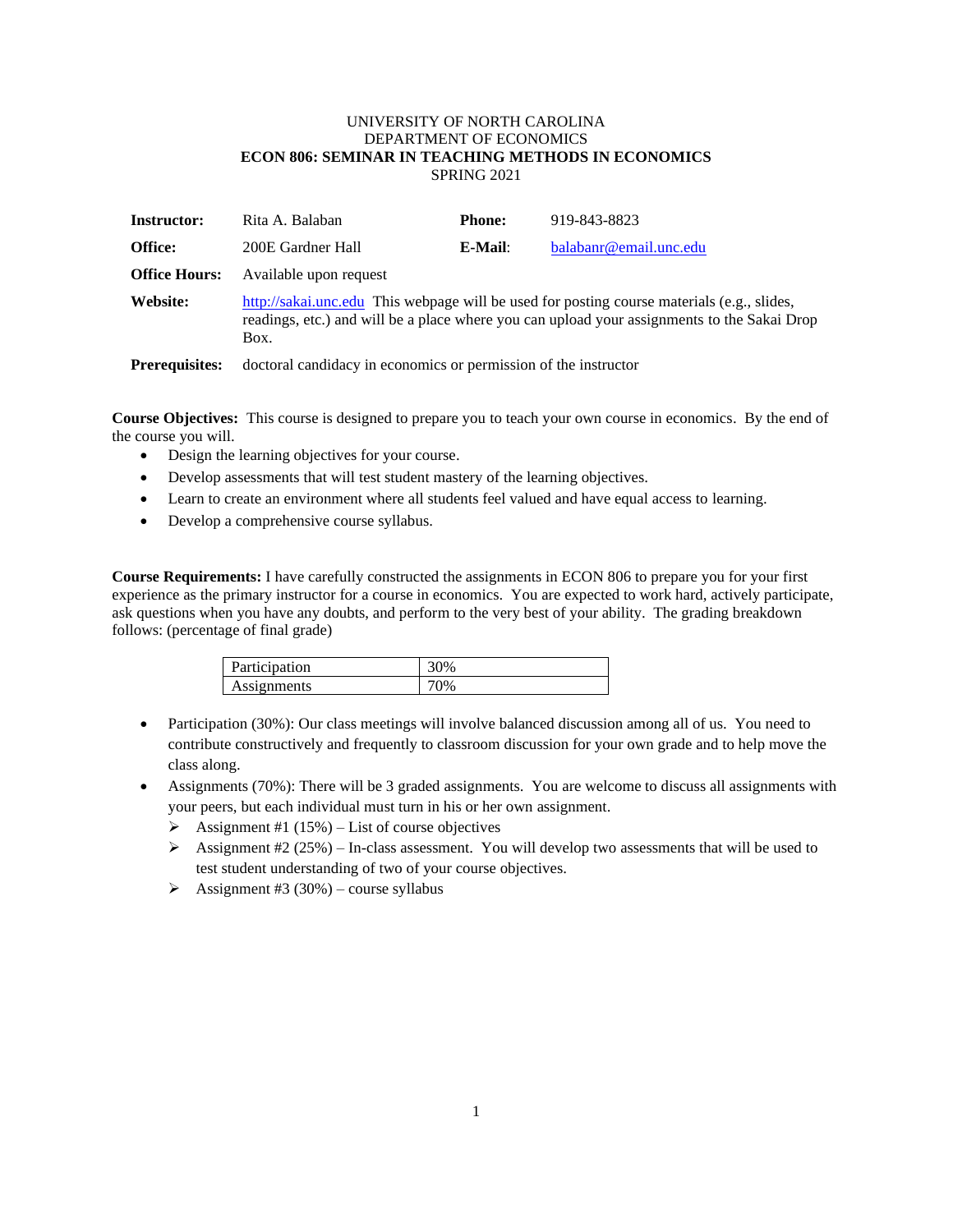## UNIVERSITY OF NORTH CAROLINA DEPARTMENT OF ECONOMICS **ECON 806: SEMINAR IN TEACHING METHODS IN ECONOMICS** SPRING 2021

| <b>Instructor:</b>   | Rita A. Balaban                                                                                                                                                                                   | <b>Phone:</b> | 919-843-8823           |
|----------------------|---------------------------------------------------------------------------------------------------------------------------------------------------------------------------------------------------|---------------|------------------------|
| Office:              | 200E Gardner Hall                                                                                                                                                                                 | E-Mail:       | balabanr@email.unc.edu |
| <b>Office Hours:</b> | Available upon request                                                                                                                                                                            |               |                        |
| Website:             | http://sakai.unc.edu This webpage will be used for posting course materials (e.g., slides,<br>readings, etc.) and will be a place where you can upload your assignments to the Sakai Drop<br>Box. |               |                        |
|                      |                                                                                                                                                                                                   |               |                        |

**Prerequisites:** doctoral candidacy in economics or permission of the instructor

**Course Objectives:** This course is designed to prepare you to teach your own course in economics. By the end of the course you will.

- Design the learning objectives for your course.
- Develop assessments that will test student mastery of the learning objectives.
- Learn to create an environment where all students feel valued and have equal access to learning.
- Develop a comprehensive course syllabus.

**Course Requirements:** I have carefully constructed the assignments in ECON 806 to prepare you for your first experience as the primary instructor for a course in economics. You are expected to work hard, actively participate, ask questions when you have any doubts, and perform to the very best of your ability. The grading breakdown follows: (percentage of final grade)

| Participation |    |
|---------------|----|
| Assignments   | v, |

- Participation (30%): Our class meetings will involve balanced discussion among all of us. You need to contribute constructively and frequently to classroom discussion for your own grade and to help move the class along.
- Assignments (70%): There will be 3 graded assignments. You are welcome to discuss all assignments with your peers, but each individual must turn in his or her own assignment.
	- $\triangleright$  Assignment #1 (15%) List of course objectives
	- $\triangleright$  Assignment #2 (25%) In-class assessment. You will develop two assessments that will be used to test student understanding of two of your course objectives.
	- $\triangleright$  Assignment #3 (30%) course syllabus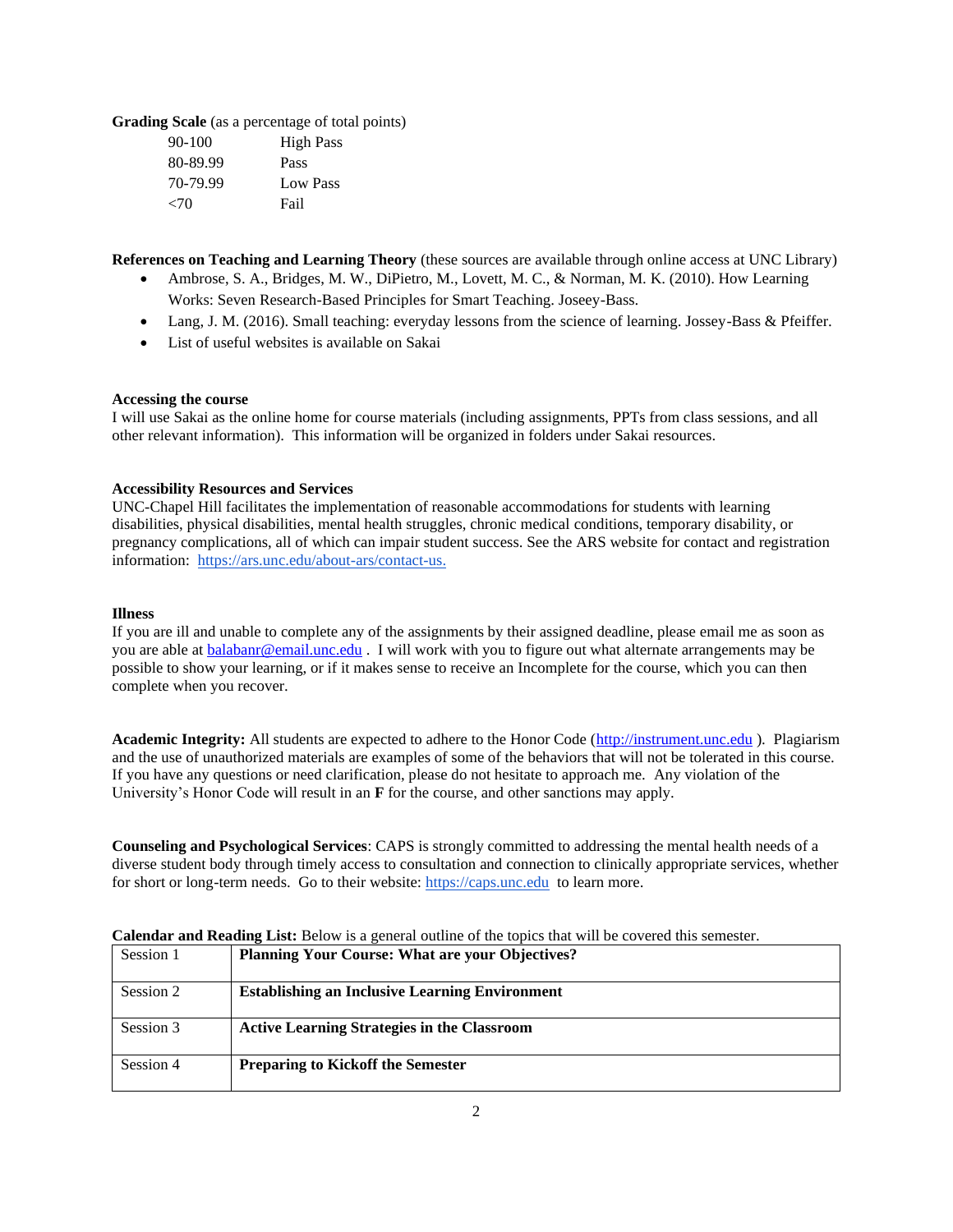**Grading Scale** (as a percentage of total points)

| $90 - 100$ | <b>High Pass</b> |
|------------|------------------|
| 80-89.99   | Pass             |
| 70-79.99   | Low Pass         |
| < 70       | Fail             |

**References on Teaching and Learning Theory** (these sources are available through online access at UNC Library)

- Ambrose, S. A., Bridges, M. W., DiPietro, M., Lovett, M. C., & Norman, M. K. (2010). How Learning Works: Seven Research-Based Principles for Smart Teaching. Joseey-Bass.
- Lang, J. M. (2016). Small teaching: everyday lessons from the science of learning. Jossey-Bass & Pfeiffer.
- List of useful websites is available on Sakai

### **Accessing the course**

I will use Sakai as the online home for course materials (including assignments, PPTs from class sessions, and all other relevant information). This information will be organized in folders under Sakai resources.

### **Accessibility Resources and Services**

UNC-Chapel Hill facilitates the implementation of reasonable accommodations for students with learning disabilities, physical disabilities, mental health struggles, chronic medical conditions, temporary disability, or pregnancy complications, all of which can impair student success. See the ARS website for contact and registration information: [https://ars.unc.edu/about-ars/contact-us.](https://ars.unc.edu/about-ars/contact-us)

#### **Illness**

If you are ill and unable to complete any of the assignments by their assigned deadline, please email me as soon as you are able at **balabanr@email.unc.edu** . I will work with you to figure out what alternate arrangements may be possible to show your learning, or if it makes sense to receive an Incomplete for the course, which you can then complete when you recover.

**Academic Integrity:** All students are expected to adhere to the Honor Code [\(http://instrument.unc.edu](http://instrument.unc.edu/) ). Plagiarism and the use of unauthorized materials are examples of some of the behaviors that will not be tolerated in this course. If you have any questions or need clarification, please do not hesitate to approach me. Any violation of the University's Honor Code will result in an **F** for the course, and other sanctions may apply.

**Counseling and Psychological Services**: CAPS is strongly committed to addressing the mental health needs of a diverse student body through timely access to consultation and connection to clinically appropriate services, whether for short or long-term needs. Go to their website: [https://caps.unc.edu](https://caps.unc.edu/) to learn more.

| Carendal and <b>Kraumg</b> List. Delow is a general outline of the topics that will be covered this semester. |                                                        |  |
|---------------------------------------------------------------------------------------------------------------|--------------------------------------------------------|--|
| Session 1                                                                                                     | <b>Planning Your Course: What are your Objectives?</b> |  |
| Session 2                                                                                                     | <b>Establishing an Inclusive Learning Environment</b>  |  |
| Session 3                                                                                                     | <b>Active Learning Strategies in the Classroom</b>     |  |
| Session 4                                                                                                     | <b>Preparing to Kickoff the Semester</b>               |  |

# **Calendar and Reading List:** Below is a general outline of the topics that will be covered this semester.